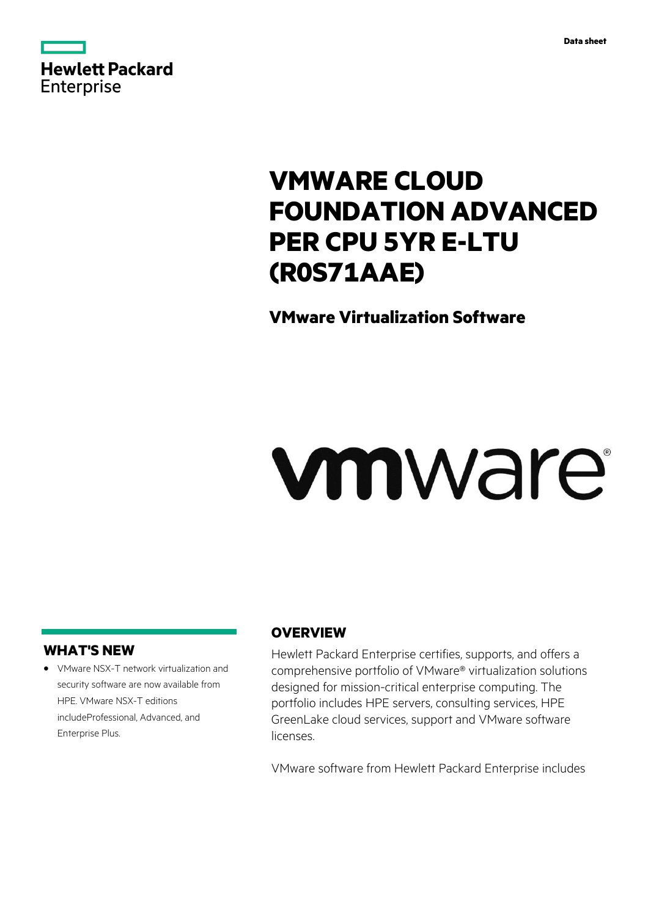

# **VMWARE CLOUD FOUNDATION ADVANCED PER CPU 5YR E-LTU (R0S71AAE)**

# **VMware Virtualization Software**

# vmware

## **WHAT'S NEW**

**·** VMware NSX-T network virtualization and security software are now available from HPE. VMware NSX-T editions includeProfessional, Advanced, and Enterprise Plus.

# **OVERVIEW**

Hewlett Packard Enterprise certifies, supports, and offers a comprehensive portfolio of VMware® virtualization solutions designed for mission-critical enterprise computing. The portfolio includes HPE servers, consulting services, HPE GreenLake cloud services, support and VMware software licenses.

VMware software from Hewlett Packard Enterprise includes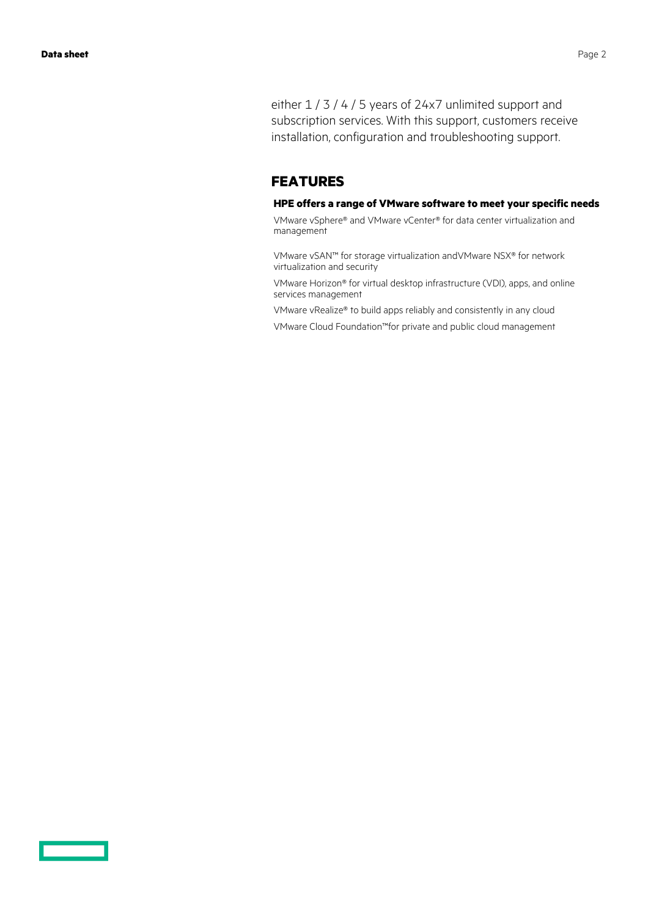either  $1/3/4/5$  years of 24x7 unlimited support and subscription services. With this support, customers receive installation, configuration and troubleshooting support.

### **FEATURES**

#### **HPE offers a range of VMware software to meet your specific needs**

VMware vSphere® and VMware vCenter® for data center virtualization and management

VMware vSAN™ for storage virtualization andVMware NSX® for network virtualization and security

VMware Horizon® for virtual desktop infrastructure (VDI), apps, and online services management

VMware vRealize® to build apps reliably and consistently in any cloud

VMware Cloud Foundation™for private and public cloud management